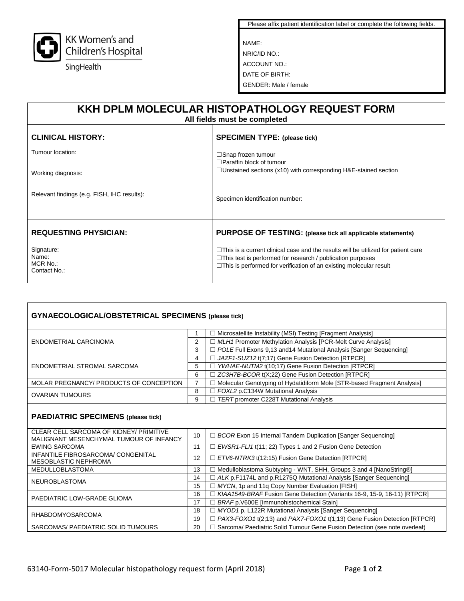

Please affix patient identification label or complete the following fields.

NAME: NRIC/ID NO.: ACCOUNT NO.: DATE OF BIRTH: GENDER: Male / female

| KKH DPLM MOLECULAR HISTOPATHOLOGY REQUEST FORM<br>All fields must be completed |                                                                                                                                                                                                                                            |  |  |  |  |
|--------------------------------------------------------------------------------|--------------------------------------------------------------------------------------------------------------------------------------------------------------------------------------------------------------------------------------------|--|--|--|--|
| <b>CLINICAL HISTORY:</b>                                                       | <b>SPECIMEN TYPE: (please tick)</b>                                                                                                                                                                                                        |  |  |  |  |
| Tumour location:                                                               | $\Box$ Snap frozen tumour<br>$\Box$ Paraffin block of tumour                                                                                                                                                                               |  |  |  |  |
| Working diagnosis:                                                             | $\Box$ Unstained sections (x10) with corresponding H&E-stained section                                                                                                                                                                     |  |  |  |  |
| Relevant findings (e.g. FISH, IHC results):                                    | Specimen identification number:                                                                                                                                                                                                            |  |  |  |  |
| <b>REQUESTING PHYSICIAN:</b>                                                   | PURPOSE OF TESTING: (please tick all applicable statements)                                                                                                                                                                                |  |  |  |  |
| Signature:<br>Name:<br>MCR No.:<br>Contact No.:                                | $\Box$ This is a current clinical case and the results will be utilized for patient care<br>$\Box$ This test is performed for research / publication purposes<br>$\Box$ This is performed for verification of an existing molecular result |  |  |  |  |

| <b>GYNAECOLOGICAL/OBSTETRICAL SPECIMENS (please tick)</b>                          |                |                                                                             |  |  |
|------------------------------------------------------------------------------------|----------------|-----------------------------------------------------------------------------|--|--|
|                                                                                    |                | Microsatellite Instability (MSI) Testing [Fragment Analysis]                |  |  |
| ENDOMETRIAL CARCINOMA                                                              | $\overline{2}$ | □ MLH1 Promoter Methylation Analysis [PCR-Melt Curve Analysis]              |  |  |
|                                                                                    | 3              | $\Box$ POLE Full Exons 9,13 and 14 Mutational Analysis [Sanger Sequencing]  |  |  |
|                                                                                    | 4              | JAZF1-SUZ12 t(7;17) Gene Fusion Detection [RTPCR]                           |  |  |
| ENDOMETRIAL STROMAL SARCOMA                                                        | 5              | YWHAE-NUTM2 t(10:17) Gene Fusion Detection [RTPCR]                          |  |  |
|                                                                                    | 6              | □ ZC3H7B-BCOR t(X;22) Gene Fusion Detection [RTPCR]                         |  |  |
| MOLAR PREGNANCY/ PRODUCTS OF CONCEPTION                                            | $\overline{7}$ | □ Molecular Genotyping of Hydatidiform Mole [STR-based Fragment Analysis]   |  |  |
| <b>OVARIAN TUMOURS</b>                                                             | 8              | FOXL2 p.C134W Mutational Analysis                                           |  |  |
|                                                                                    | 9              | TERT promoter C228T Mutational Analysis                                     |  |  |
| <b>PAEDIATRIC SPECIMENS (please tick)</b>                                          |                |                                                                             |  |  |
| CLEAR CELL SARCOMA OF KIDNEY/ PRIMITIVE<br>MALIGNANT MESENCHYMAL TUMOUR OF INFANCY | 10             | $\Box$ BCOR Exon 15 Internal Tandem Duplication [Sanger Sequencing]         |  |  |
| <b>EWING SARCOMA</b>                                                               | 11             | EWSR1-FLI1 t(11; 22) Types 1 and 2 Fusion Gene Detection                    |  |  |
| INFANTILE FIBROSARCOMA/ CONGENITAL<br>MESOBLASTIC NEPHROMA                         | 12             | $\Box$ ETV6-NTRK3 t(12:15) Fusion Gene Detection [RTPCR]                    |  |  |
| <b>MEDULLOBLASTOMA</b>                                                             | 13             | □ Medulloblastoma Subtyping - WNT, SHH, Groups 3 and 4 [NanoString®]        |  |  |
| NEUROBLASTOMA                                                                      | 14             | $\exists$ ALK p.F1174L and p.R1275Q Mutational Analysis [Sanger Sequencing] |  |  |
|                                                                                    | 15             | □ MYCN, 1p and 11q Copy Number Evaluation [FISH]                            |  |  |
| PAEDIATRIC LOW-GRADE GLIOMA                                                        | 16             | KIAA1549-BRAF Fusion Gene Detection (Variants 16-9, 15-9, 16-11) [RTPCR]    |  |  |
|                                                                                    | 17             | BRAF p.V600E [Immunohistochemical Stain]                                    |  |  |
| <b>RHABDOMYOSARCOMA</b>                                                            | 18             | □ MYOD1 p. L122R Mutational Analysis [Sanger Sequencing]                    |  |  |
|                                                                                    | 19             | PAX3-FOXO1 t(2:13) and PAX7-FOXO1 t(1:13) Gene Fusion Detection [RTPCR]     |  |  |
| SARCOMAS/ PAEDIATRIC SOLID TUMOURS                                                 | 20             | Sarcoma/ Paediatric Solid Tumour Gene Fusion Detection (see note overleaf)  |  |  |